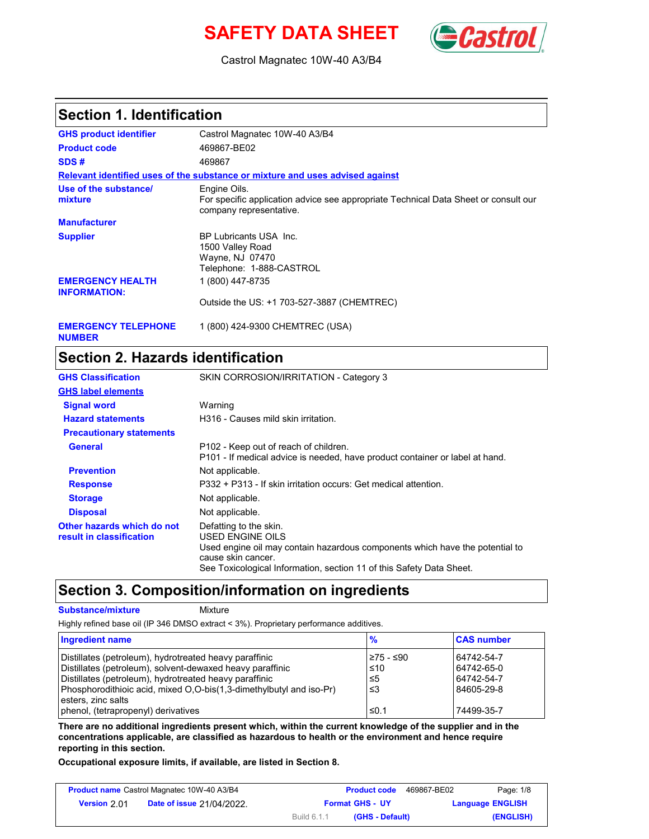# **SAFETY DATA SHEET** (**Cast**



Castrol Magnatec 10W-40 A3/B4

#### **Section 1. Identification**

| <b>GHS product identifier</b>                  | Castrol Magnatec 10W-40 A3/B4                                                                                                  |
|------------------------------------------------|--------------------------------------------------------------------------------------------------------------------------------|
| <b>Product code</b>                            | 469867-BE02                                                                                                                    |
| SDS#                                           | 469867                                                                                                                         |
|                                                | Relevant identified uses of the substance or mixture and uses advised against                                                  |
| Use of the substance/<br>mixture               | Engine Oils.<br>For specific application advice see appropriate Technical Data Sheet or consult our<br>company representative. |
| <b>Manufacturer</b>                            |                                                                                                                                |
| <b>Supplier</b>                                | BP Lubricants USA Inc.<br>1500 Valley Road<br>Wayne, NJ 07470<br>Telephone: 1-888-CASTROL                                      |
| <b>EMERGENCY HEALTH</b><br><b>INFORMATION:</b> | 1 (800) 447-8735                                                                                                               |
|                                                | Outside the US: +1 703-527-3887 (CHEMTREC)                                                                                     |
|                                                |                                                                                                                                |

**NUMBER**

#### **EMERGENCY TELEPHONE** 1 (800) 424-9300 CHEMTREC (USA)

#### **Section 2. Hazards identification**

| <b>GHS Classification</b>                              | SKIN CORROSION/IRRITATION - Category 3                                                                                                                                                                                   |
|--------------------------------------------------------|--------------------------------------------------------------------------------------------------------------------------------------------------------------------------------------------------------------------------|
| <b>GHS label elements</b>                              |                                                                                                                                                                                                                          |
| <b>Signal word</b>                                     | Warning                                                                                                                                                                                                                  |
| <b>Hazard statements</b>                               | H316 - Causes mild skin irritation.                                                                                                                                                                                      |
| <b>Precautionary statements</b>                        |                                                                                                                                                                                                                          |
| General                                                | P102 - Keep out of reach of children.<br>P101 - If medical advice is needed, have product container or label at hand.                                                                                                    |
| <b>Prevention</b>                                      | Not applicable.                                                                                                                                                                                                          |
| <b>Response</b>                                        | P332 + P313 - If skin irritation occurs: Get medical attention.                                                                                                                                                          |
| <b>Storage</b>                                         | Not applicable.                                                                                                                                                                                                          |
| <b>Disposal</b>                                        | Not applicable.                                                                                                                                                                                                          |
| Other hazards which do not<br>result in classification | Defatting to the skin.<br>USED ENGINE OILS<br>Used engine oil may contain hazardous components which have the potential to<br>cause skin cancer.<br>See Toxicological Information, section 11 of this Safety Data Sheet. |

## **Section 3. Composition/information on ingredients**

#### **Substance/mixture Mixture**

Highly refined base oil (IP 346 DMSO extract < 3%). Proprietary performance additives.

| <b>Ingredient name</b>                                              | $\frac{9}{6}$ | <b>CAS number</b> |
|---------------------------------------------------------------------|---------------|-------------------|
| Distillates (petroleum), hydrotreated heavy paraffinic              | ≥75 - ≤90     | 64742-54-7        |
| Distillates (petroleum), solvent-dewaxed heavy paraffinic           | ∍≤10          | 64742-65-0        |
| Distillates (petroleum), hydrotreated heavy paraffinic              | $\leq 5$      | 64742-54-7        |
| Phosphorodithioic acid, mixed O,O-bis(1,3-dimethylbutyl and iso-Pr) | '≤3           | 84605-29-8        |
| esters, zinc salts                                                  |               |                   |
| phenol, (tetrapropenyl) derivatives                                 | ≤0.1          | 74499-35-7        |

**There are no additional ingredients present which, within the current knowledge of the supplier and in the concentrations applicable, are classified as hazardous to health or the environment and hence require reporting in this section.**

**Occupational exposure limits, if available, are listed in Section 8.**

| <b>Product name Castrol Magnatec 10W-40 A3/B4</b> |                                  |                        | <b>Product code</b> | 469867-BE02 | Page: 1/8               |
|---------------------------------------------------|----------------------------------|------------------------|---------------------|-------------|-------------------------|
| Version 2.01                                      | <b>Date of issue 21/04/2022.</b> | <b>Format GHS - UY</b> |                     |             | <b>Language ENGLISH</b> |
|                                                   |                                  | Build 6.1.1            | (GHS - Default)     |             | (ENGLISH)               |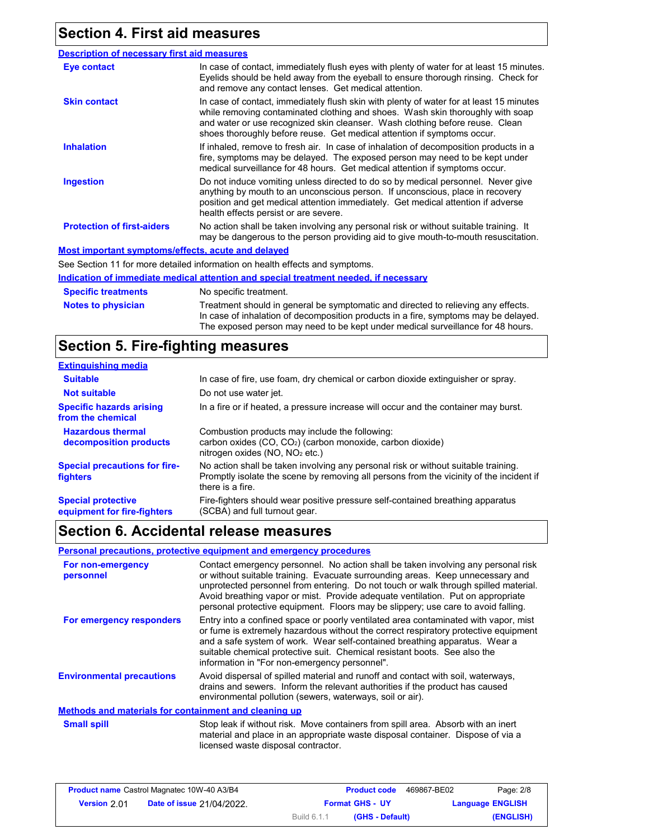## **Section 4. First aid measures**

| <b>Description of necessary first aid measures</b> |                                                                                                                                                                                                                                                                                                                                      |
|----------------------------------------------------|--------------------------------------------------------------------------------------------------------------------------------------------------------------------------------------------------------------------------------------------------------------------------------------------------------------------------------------|
| <b>Eye contact</b>                                 | In case of contact, immediately flush eyes with plenty of water for at least 15 minutes.<br>Eyelids should be held away from the eyeball to ensure thorough rinsing. Check for<br>and remove any contact lenses. Get medical attention.                                                                                              |
| <b>Skin contact</b>                                | In case of contact, immediately flush skin with plenty of water for at least 15 minutes<br>while removing contaminated clothing and shoes. Wash skin thoroughly with soap<br>and water or use recognized skin cleanser. Wash clothing before reuse. Clean<br>shoes thoroughly before reuse. Get medical attention if symptoms occur. |
| <b>Inhalation</b>                                  | If inhaled, remove to fresh air. In case of inhalation of decomposition products in a<br>fire, symptoms may be delayed. The exposed person may need to be kept under<br>medical surveillance for 48 hours. Get medical attention if symptoms occur.                                                                                  |
| <b>Ingestion</b>                                   | Do not induce vomiting unless directed to do so by medical personnel. Never give<br>anything by mouth to an unconscious person. If unconscious, place in recovery<br>position and get medical attention immediately. Get medical attention if adverse<br>health effects persist or are severe.                                       |
| <b>Protection of first-aiders</b>                  | No action shall be taken involving any personal risk or without suitable training. It<br>may be dangerous to the person providing aid to give mouth-to-mouth resuscitation.                                                                                                                                                          |
| Most important symptoms/effects, acute and delayed |                                                                                                                                                                                                                                                                                                                                      |
|                                                    | See Section 11 for more detailed information on health effects and symptoms.                                                                                                                                                                                                                                                         |
|                                                    | Indication of immediate medical attention and special treatment needed, if necessary                                                                                                                                                                                                                                                 |
| <b>Specific treatments</b>                         | No specific treatment.                                                                                                                                                                                                                                                                                                               |
| <b>Notes to physician</b>                          | Treatment should in general be symptomatic and directed to relieving any effects.                                                                                                                                                                                                                                                    |

#### **Section 5. Fire-fighting measures**

| <b>Extinguishing media</b>                               |                                                                                                                                                                                                   |
|----------------------------------------------------------|---------------------------------------------------------------------------------------------------------------------------------------------------------------------------------------------------|
| <b>Suitable</b>                                          | In case of fire, use foam, dry chemical or carbon dioxide extinguisher or spray.                                                                                                                  |
| <b>Not suitable</b>                                      | Do not use water jet.                                                                                                                                                                             |
| <b>Specific hazards arising</b><br>from the chemical     | In a fire or if heated, a pressure increase will occur and the container may burst.                                                                                                               |
| <b>Hazardous thermal</b><br>decomposition products       | Combustion products may include the following:<br>carbon oxides (CO, CO <sub>2</sub> ) (carbon monoxide, carbon dioxide)<br>nitrogen oxides ( $NO$ , $NO2$ etc.)                                  |
| <b>Special precautions for fire-</b><br><b>fighters</b>  | No action shall be taken involving any personal risk or without suitable training.<br>Promptly isolate the scene by removing all persons from the vicinity of the incident if<br>there is a fire. |
| <b>Special protective</b><br>equipment for fire-fighters | Fire-fighters should wear positive pressure self-contained breathing apparatus<br>(SCBA) and full turnout gear.                                                                                   |

In case of inhalation of decomposition products in a fire, symptoms may be delayed. The exposed person may need to be kept under medical surveillance for 48 hours.

## **Section 6. Accidental release measures**

#### **Personal precautions, protective equipment and emergency procedures**

| For non-emergency<br>personnel                        | Contact emergency personnel. No action shall be taken involving any personal risk<br>or without suitable training. Evacuate surrounding areas. Keep unnecessary and<br>unprotected personnel from entering. Do not touch or walk through spilled material.<br>Avoid breathing vapor or mist. Provide adequate ventilation. Put on appropriate<br>personal protective equipment. Floors may be slippery; use care to avoid falling. |
|-------------------------------------------------------|------------------------------------------------------------------------------------------------------------------------------------------------------------------------------------------------------------------------------------------------------------------------------------------------------------------------------------------------------------------------------------------------------------------------------------|
| For emergency responders                              | Entry into a confined space or poorly ventilated area contaminated with vapor, mist<br>or fume is extremely hazardous without the correct respiratory protective equipment<br>and a safe system of work. Wear self-contained breathing apparatus. Wear a<br>suitable chemical protective suit. Chemical resistant boots. See also the<br>information in "For non-emergency personnel".                                             |
| <b>Environmental precautions</b>                      | Avoid dispersal of spilled material and runoff and contact with soil, waterways,<br>drains and sewers. Inform the relevant authorities if the product has caused<br>environmental pollution (sewers, waterways, soil or air).                                                                                                                                                                                                      |
| Methods and materials for containment and cleaning up |                                                                                                                                                                                                                                                                                                                                                                                                                                    |
| <b>Small spill</b>                                    | Stop leak if without risk. Move containers from spill area. Absorb with an inert<br>material and place in an appropriate waste disposal container. Dispose of via a<br>licensed waste disposal contractor.                                                                                                                                                                                                                         |

| <b>Product name Castrol Magnatec 10W-40 A3/B4</b> |                                  |                        | <b>Product code</b> | 469867-BE02 | Page: 2/8               |
|---------------------------------------------------|----------------------------------|------------------------|---------------------|-------------|-------------------------|
| <b>Version 2.01</b>                               | <b>Date of issue 21/04/2022.</b> | <b>Format GHS - UY</b> |                     |             | <b>Language ENGLISH</b> |
|                                                   |                                  | Build 6.1.1            | (GHS - Default)     |             | (ENGLISH)               |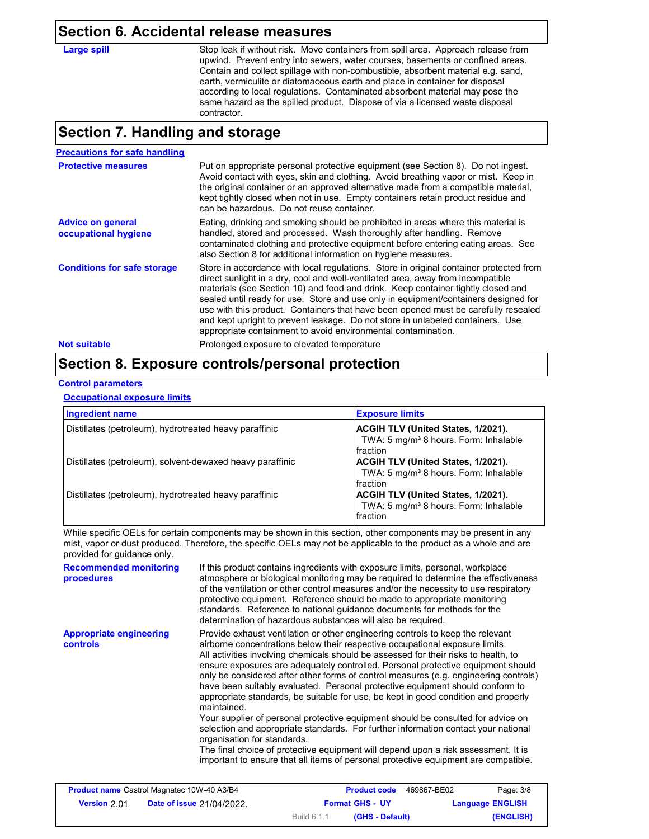#### **Section 6. Accidental release measures**

Large spill Stop leak if without risk. Move containers from spill area. Approach release from upwind. Prevent entry into sewers, water courses, basements or confined areas. Contain and collect spillage with non-combustible, absorbent material e.g. sand, earth, vermiculite or diatomaceous earth and place in container for disposal according to local regulations. Contaminated absorbent material may pose the same hazard as the spilled product. Dispose of via a licensed waste disposal contractor.

#### **Section 7. Handling and storage**

| <b>Precautions for safe handling</b>             |                                                                                                                                                                                                                                                                                                                                                                                                                                                                                                                                                                                               |
|--------------------------------------------------|-----------------------------------------------------------------------------------------------------------------------------------------------------------------------------------------------------------------------------------------------------------------------------------------------------------------------------------------------------------------------------------------------------------------------------------------------------------------------------------------------------------------------------------------------------------------------------------------------|
| <b>Protective measures</b>                       | Put on appropriate personal protective equipment (see Section 8). Do not ingest.<br>Avoid contact with eyes, skin and clothing. Avoid breathing vapor or mist. Keep in<br>the original container or an approved alternative made from a compatible material.<br>kept tightly closed when not in use. Empty containers retain product residue and<br>can be hazardous. Do not reuse container.                                                                                                                                                                                                 |
| <b>Advice on general</b><br>occupational hygiene | Eating, drinking and smoking should be prohibited in areas where this material is<br>handled, stored and processed. Wash thoroughly after handling. Remove<br>contaminated clothing and protective equipment before entering eating areas. See<br>also Section 8 for additional information on hygiene measures.                                                                                                                                                                                                                                                                              |
| <b>Conditions for safe storage</b>               | Store in accordance with local regulations. Store in original container protected from<br>direct sunlight in a dry, cool and well-ventilated area, away from incompatible<br>materials (see Section 10) and food and drink. Keep container tightly closed and<br>sealed until ready for use. Store and use only in equipment/containers designed for<br>use with this product. Containers that have been opened must be carefully resealed<br>and kept upright to prevent leakage. Do not store in unlabeled containers. Use<br>appropriate containment to avoid environmental contamination. |
| <b>Not suitable</b>                              | Prolonged exposure to elevated temperature                                                                                                                                                                                                                                                                                                                                                                                                                                                                                                                                                    |

## **Section 8. Exposure controls/personal protection**

#### **Control parameters**

#### **Occupational exposure limits**

| <b>Ingredient name</b>                                    | <b>Exposure limits</b>                                                                              |
|-----------------------------------------------------------|-----------------------------------------------------------------------------------------------------|
| Distillates (petroleum), hydrotreated heavy paraffinic    | ACGIH TLV (United States, 1/2021).<br>TWA: 5 mg/m <sup>3</sup> 8 hours. Form: Inhalable<br>fraction |
| Distillates (petroleum), solvent-dewaxed heavy paraffinic | ACGIH TLV (United States, 1/2021).<br>TWA: 5 mg/m <sup>3</sup> 8 hours. Form: Inhalable<br>fraction |
| Distillates (petroleum), hydrotreated heavy paraffinic    | ACGIH TLV (United States, 1/2021).<br>TWA: 5 mg/m <sup>3</sup> 8 hours. Form: Inhalable<br>fraction |

While specific OELs for certain components may be shown in this section, other components may be present in any mist, vapor or dust produced. Therefore, the specific OELs may not be applicable to the product as a whole and are provided for guidance only.

| <b>Recommended monitoring</b><br>procedures       | If this product contains ingredients with exposure limits, personal, workplace<br>atmosphere or biological monitoring may be required to determine the effectiveness<br>of the ventilation or other control measures and/or the necessity to use respiratory<br>protective equipment. Reference should be made to appropriate monitoring<br>standards. Reference to national guidance documents for methods for the<br>determination of hazardous substances will also be required.                                                                                                                                                                                                                                                                                                                                                                                                                                                                                                                          |
|---------------------------------------------------|--------------------------------------------------------------------------------------------------------------------------------------------------------------------------------------------------------------------------------------------------------------------------------------------------------------------------------------------------------------------------------------------------------------------------------------------------------------------------------------------------------------------------------------------------------------------------------------------------------------------------------------------------------------------------------------------------------------------------------------------------------------------------------------------------------------------------------------------------------------------------------------------------------------------------------------------------------------------------------------------------------------|
| <b>Appropriate engineering</b><br><b>controls</b> | Provide exhaust ventilation or other engineering controls to keep the relevant<br>airborne concentrations below their respective occupational exposure limits.<br>All activities involving chemicals should be assessed for their risks to health, to<br>ensure exposures are adequately controlled. Personal protective equipment should<br>only be considered after other forms of control measures (e.g. engineering controls)<br>have been suitably evaluated. Personal protective equipment should conform to<br>appropriate standards, be suitable for use, be kept in good condition and properly<br>maintained<br>Your supplier of personal protective equipment should be consulted for advice on<br>selection and appropriate standards. For further information contact your national<br>organisation for standards.<br>The final choice of protective equipment will depend upon a risk assessment. It is<br>important to ensure that all items of personal protective equipment are compatible. |

| <b>Product name</b> Castrol Magnatec 10W-40 A3/B4 |                                  |                        | <b>Product code</b> | 469867-BE02             | Page: 3/8 |
|---------------------------------------------------|----------------------------------|------------------------|---------------------|-------------------------|-----------|
| Version 2.01                                      | <b>Date of issue 21/04/2022.</b> | <b>Format GHS - UY</b> |                     | <b>Language ENGLISH</b> |           |
|                                                   |                                  | Build 6.1.1            | (GHS - Default)     |                         | (ENGLISH) |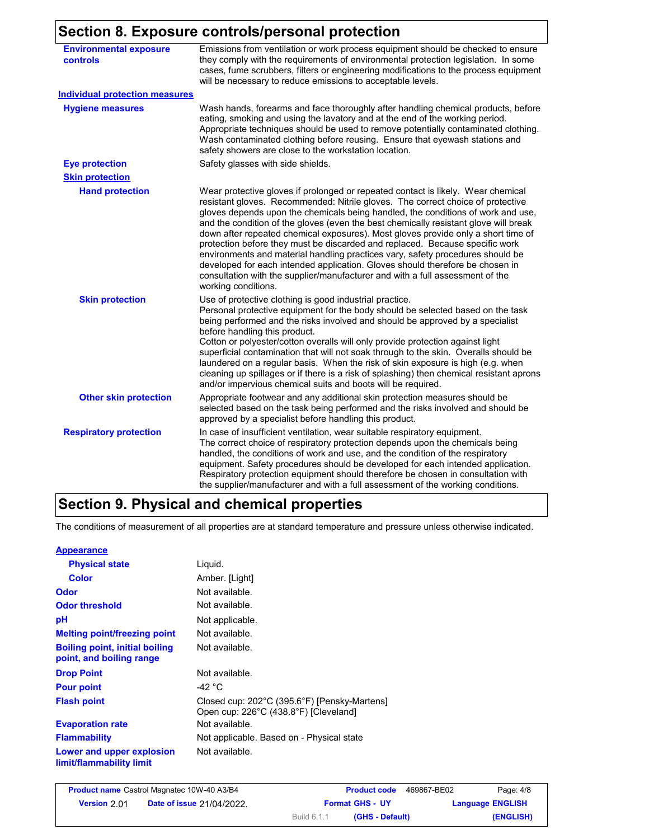#### **Section 8. Exposure controls/personal protection**

|                                           | Section 6. Exposure controis/personal protection                                                                                                                                                                                                                                                                                                                                                                                                                                                                                                                                                                                                                                                                                                                                                |
|-------------------------------------------|-------------------------------------------------------------------------------------------------------------------------------------------------------------------------------------------------------------------------------------------------------------------------------------------------------------------------------------------------------------------------------------------------------------------------------------------------------------------------------------------------------------------------------------------------------------------------------------------------------------------------------------------------------------------------------------------------------------------------------------------------------------------------------------------------|
| <b>Environmental exposure</b><br>controls | Emissions from ventilation or work process equipment should be checked to ensure<br>they comply with the requirements of environmental protection legislation. In some<br>cases, fume scrubbers, filters or engineering modifications to the process equipment<br>will be necessary to reduce emissions to acceptable levels.                                                                                                                                                                                                                                                                                                                                                                                                                                                                   |
| <b>Individual protection measures</b>     |                                                                                                                                                                                                                                                                                                                                                                                                                                                                                                                                                                                                                                                                                                                                                                                                 |
| <b>Hygiene measures</b>                   | Wash hands, forearms and face thoroughly after handling chemical products, before<br>eating, smoking and using the lavatory and at the end of the working period.<br>Appropriate techniques should be used to remove potentially contaminated clothing.<br>Wash contaminated clothing before reusing. Ensure that eyewash stations and<br>safety showers are close to the workstation location.                                                                                                                                                                                                                                                                                                                                                                                                 |
| <b>Eye protection</b>                     | Safety glasses with side shields.                                                                                                                                                                                                                                                                                                                                                                                                                                                                                                                                                                                                                                                                                                                                                               |
| <b>Skin protection</b>                    |                                                                                                                                                                                                                                                                                                                                                                                                                                                                                                                                                                                                                                                                                                                                                                                                 |
| <b>Hand protection</b>                    | Wear protective gloves if prolonged or repeated contact is likely. Wear chemical<br>resistant gloves. Recommended: Nitrile gloves. The correct choice of protective<br>gloves depends upon the chemicals being handled, the conditions of work and use,<br>and the condition of the gloves (even the best chemically resistant glove will break<br>down after repeated chemical exposures). Most gloves provide only a short time of<br>protection before they must be discarded and replaced. Because specific work<br>environments and material handling practices vary, safety procedures should be<br>developed for each intended application. Gloves should therefore be chosen in<br>consultation with the supplier/manufacturer and with a full assessment of the<br>working conditions. |
| <b>Skin protection</b>                    | Use of protective clothing is good industrial practice.<br>Personal protective equipment for the body should be selected based on the task<br>being performed and the risks involved and should be approved by a specialist<br>before handling this product.<br>Cotton or polyester/cotton overalls will only provide protection against light<br>superficial contamination that will not soak through to the skin. Overalls should be<br>laundered on a regular basis. When the risk of skin exposure is high (e.g. when<br>cleaning up spillages or if there is a risk of splashing) then chemical resistant aprons<br>and/or impervious chemical suits and boots will be required.                                                                                                           |
| <b>Other skin protection</b>              | Appropriate footwear and any additional skin protection measures should be<br>selected based on the task being performed and the risks involved and should be<br>approved by a specialist before handling this product.                                                                                                                                                                                                                                                                                                                                                                                                                                                                                                                                                                         |
| <b>Respiratory protection</b>             | In case of insufficient ventilation, wear suitable respiratory equipment.<br>The correct choice of respiratory protection depends upon the chemicals being<br>handled, the conditions of work and use, and the condition of the respiratory<br>equipment. Safety procedures should be developed for each intended application.<br>Respiratory protection equipment should therefore be chosen in consultation with<br>the supplier/manufacturer and with a full assessment of the working conditions.                                                                                                                                                                                                                                                                                           |

# **Section 9. Physical and chemical properties**

The conditions of measurement of all properties are at standard temperature and pressure unless otherwise indicated.

| <b>Appearance</b>                                                 |                                                                                       |
|-------------------------------------------------------------------|---------------------------------------------------------------------------------------|
| <b>Physical state</b>                                             | Liquid.                                                                               |
| <b>Color</b>                                                      | Amber. [Light]                                                                        |
| Odor                                                              | Not available.                                                                        |
| <b>Odor threshold</b>                                             | Not available.                                                                        |
| рH                                                                | Not applicable.                                                                       |
| <b>Melting point/freezing point</b>                               | Not available.                                                                        |
| <b>Boiling point, initial boiling</b><br>point, and boiling range | Not available.                                                                        |
| <b>Drop Point</b>                                                 | Not available.                                                                        |
| <b>Pour point</b>                                                 | -42 °C                                                                                |
| <b>Flash point</b>                                                | Closed cup: 202°C (395.6°F) [Pensky-Martens]<br>Open cup: 226°C (438.8°F) [Cleveland] |
| <b>Evaporation rate</b>                                           | Not available.                                                                        |
| <b>Flammability</b>                                               | Not applicable. Based on - Physical state                                             |
| Lower and upper explosion<br>limit/flammability limit             | Not available.                                                                        |

|              | <b>Product name Castrol Magnatec 10W-40 A3/B4</b> |             | <b>Product code</b>    | 469867-BE02 | Page: 4/8               |
|--------------|---------------------------------------------------|-------------|------------------------|-------------|-------------------------|
| Version 2.01 | <b>Date of issue 21/04/2022.</b>                  |             | <b>Format GHS - UY</b> |             | <b>Language ENGLISH</b> |
|              |                                                   | Build 6.1.1 | (GHS - Default)        |             | (ENGLISH)               |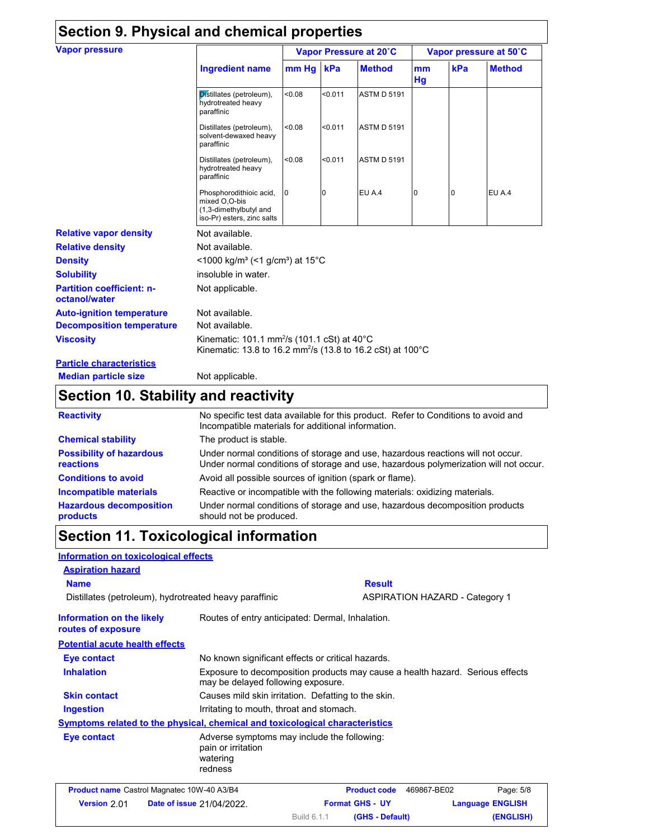| <b>Vapor pressure</b>                             |                                                                                                                                              | Vapor Pressure at 20°C |         |                    | Vapor pressure at 50°C |     |               |
|---------------------------------------------------|----------------------------------------------------------------------------------------------------------------------------------------------|------------------------|---------|--------------------|------------------------|-----|---------------|
|                                                   | <b>Ingredient name</b>                                                                                                                       | mm Hg                  | kPa     | <b>Method</b>      | mm<br>Hg               | kPa | <b>Method</b> |
|                                                   | Distillates (petroleum),<br>hydrotreated heavy<br>paraffinic                                                                                 | < 0.08                 | < 0.011 | <b>ASTM D 5191</b> |                        |     |               |
|                                                   | Distillates (petroleum),<br>solvent-dewaxed heavy<br>paraffinic                                                                              | < 0.08                 | < 0.011 | <b>ASTM D 5191</b> |                        |     |               |
|                                                   | Distillates (petroleum),<br>hydrotreated heavy<br>paraffinic                                                                                 | < 0.08                 | < 0.011 | <b>ASTM D 5191</b> |                        |     |               |
|                                                   | Phosphorodithioic acid,<br>mixed O,O-bis<br>(1,3-dimethylbutyl and<br>iso-Pr) esters, zinc salts                                             | $\overline{0}$         | 0       | EU A.4             | $\Omega$               | 0   | EU A.4        |
| <b>Relative vapor density</b>                     | Not available.                                                                                                                               |                        |         |                    |                        |     |               |
| <b>Relative density</b>                           | Not available.                                                                                                                               |                        |         |                    |                        |     |               |
| <b>Density</b>                                    | $<$ 1000 kg/m <sup>3</sup> (<1 g/cm <sup>3</sup> ) at 15 <sup>°</sup> C                                                                      |                        |         |                    |                        |     |               |
| <b>Solubility</b>                                 | insoluble in water.                                                                                                                          |                        |         |                    |                        |     |               |
| <b>Partition coefficient: n-</b><br>octanol/water | Not applicable.                                                                                                                              |                        |         |                    |                        |     |               |
| <b>Auto-ignition temperature</b>                  | Not available.                                                                                                                               |                        |         |                    |                        |     |               |
| <b>Decomposition temperature</b>                  | Not available.                                                                                                                               |                        |         |                    |                        |     |               |
| <b>Viscosity</b>                                  | Kinematic: 101.1 mm <sup>2</sup> /s (101.1 cSt) at $40^{\circ}$ C<br>Kinematic: 13.8 to 16.2 mm <sup>2</sup> /s (13.8 to 16.2 cSt) at 100 °C |                        |         |                    |                        |     |               |
| <b>Particle characteristics</b>                   |                                                                                                                                              |                        |         |                    |                        |     |               |
| <b>Median particle size</b>                       | Not applicable.                                                                                                                              |                        |         |                    |                        |     |               |

# **Section 10. Stability and reactivity**

| <b>Reactivity</b>                            | No specific test data available for this product. Refer to Conditions to avoid and<br>Incompatible materials for additional information.                                |
|----------------------------------------------|-------------------------------------------------------------------------------------------------------------------------------------------------------------------------|
| <b>Chemical stability</b>                    | The product is stable.                                                                                                                                                  |
| <b>Possibility of hazardous</b><br>reactions | Under normal conditions of storage and use, hazardous reactions will not occur.<br>Under normal conditions of storage and use, hazardous polymerization will not occur. |
| <b>Conditions to avoid</b>                   | Avoid all possible sources of ignition (spark or flame).                                                                                                                |
| <b>Incompatible materials</b>                | Reactive or incompatible with the following materials: oxidizing materials.                                                                                             |
| <b>Hazardous decomposition</b><br>products   | Under normal conditions of storage and use, hazardous decomposition products<br>should not be produced.                                                                 |

# **Section 11. Toxicological information**

| Information on toxicological effects                                         |                                                                                          |             |                        |                                                                               |  |
|------------------------------------------------------------------------------|------------------------------------------------------------------------------------------|-------------|------------------------|-------------------------------------------------------------------------------|--|
| <b>Aspiration hazard</b>                                                     |                                                                                          |             |                        |                                                                               |  |
| <b>Name</b>                                                                  |                                                                                          |             | <b>Result</b>          |                                                                               |  |
| Distillates (petroleum), hydrotreated heavy paraffinic                       |                                                                                          |             |                        | <b>ASPIRATION HAZARD - Category 1</b>                                         |  |
| Information on the likely<br>routes of exposure                              | Routes of entry anticipated: Dermal, Inhalation.                                         |             |                        |                                                                               |  |
| <b>Potential acute health effects</b>                                        |                                                                                          |             |                        |                                                                               |  |
| Eye contact                                                                  | No known significant effects or critical hazards.                                        |             |                        |                                                                               |  |
| <b>Inhalation</b>                                                            | may be delayed following exposure.                                                       |             |                        | Exposure to decomposition products may cause a health hazard. Serious effects |  |
| <b>Skin contact</b>                                                          | Causes mild skin irritation. Defatting to the skin.                                      |             |                        |                                                                               |  |
| Ingestion                                                                    | Irritating to mouth, throat and stomach.                                                 |             |                        |                                                                               |  |
| Symptoms related to the physical, chemical and toxicological characteristics |                                                                                          |             |                        |                                                                               |  |
| Eye contact                                                                  | Adverse symptoms may include the following:<br>pain or irritation<br>watering<br>redness |             |                        |                                                                               |  |
| <b>Product name</b> Castrol Magnatec 10W-40 A3/B4                            |                                                                                          |             | <b>Product code</b>    | Page: 5/8<br>469867-BE02                                                      |  |
| Version 2.01                                                                 | <b>Date of issue 21/04/2022.</b>                                                         |             | <b>Format GHS - UY</b> | <b>Language ENGLISH</b>                                                       |  |
|                                                                              |                                                                                          | Build 6.1.1 | (GHS - Default)        | (ENGLISH)                                                                     |  |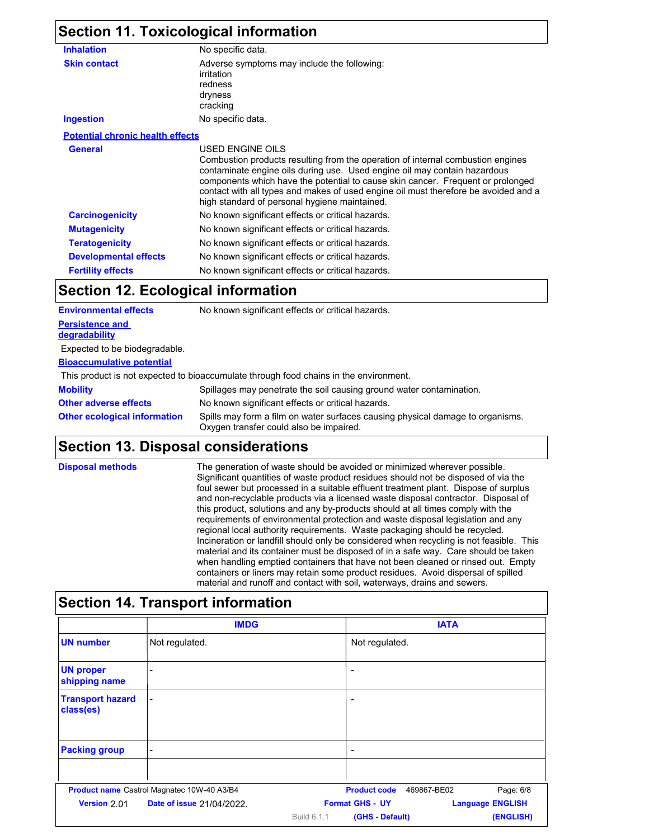# **Section 11. Toxicological information**

| <b>Inhalation</b>                       | No specific data.                                                                                                                                                                                                                                                                                                                                                                                           |  |
|-----------------------------------------|-------------------------------------------------------------------------------------------------------------------------------------------------------------------------------------------------------------------------------------------------------------------------------------------------------------------------------------------------------------------------------------------------------------|--|
| <b>Skin contact</b>                     | Adverse symptoms may include the following:<br>irritation<br>redness<br>dryness<br>cracking                                                                                                                                                                                                                                                                                                                 |  |
| <b>Ingestion</b>                        | No specific data.                                                                                                                                                                                                                                                                                                                                                                                           |  |
| <b>Potential chronic health effects</b> |                                                                                                                                                                                                                                                                                                                                                                                                             |  |
| <b>General</b>                          | USED ENGINE OILS<br>Combustion products resulting from the operation of internal combustion engines<br>contaminate engine oils during use. Used engine oil may contain hazardous<br>components which have the potential to cause skin cancer. Frequent or prolonged<br>contact with all types and makes of used engine oil must therefore be avoided and a<br>high standard of personal hygiene maintained. |  |
| <b>Carcinogenicity</b>                  | No known significant effects or critical hazards.                                                                                                                                                                                                                                                                                                                                                           |  |
| <b>Mutagenicity</b>                     | No known significant effects or critical hazards.                                                                                                                                                                                                                                                                                                                                                           |  |
| <b>Teratogenicity</b>                   | No known significant effects or critical hazards.                                                                                                                                                                                                                                                                                                                                                           |  |
| <b>Developmental effects</b>            | No known significant effects or critical hazards.                                                                                                                                                                                                                                                                                                                                                           |  |
| <b>Fertility effects</b>                | No known significant effects or critical hazards.                                                                                                                                                                                                                                                                                                                                                           |  |

## **Section 12. Ecological information**

| <b>Environmental effects</b>            | No known significant effects or critical hazards.                                                                         |
|-----------------------------------------|---------------------------------------------------------------------------------------------------------------------------|
| <b>Persistence and</b><br>degradability |                                                                                                                           |
| Expected to be biodegradable.           |                                                                                                                           |
| <b>Bioaccumulative potential</b>        |                                                                                                                           |
|                                         | This product is not expected to bioaccumulate through food chains in the environment.                                     |
| <b>Mobility</b>                         | Spillages may penetrate the soil causing ground water contamination.                                                      |
| <b>Other adverse effects</b>            | No known significant effects or critical hazards.                                                                         |
| <b>Other ecological information</b>     | Spills may form a film on water surfaces causing physical damage to organisms.<br>Oxygen transfer could also be impaired. |

# **Section 13. Disposal considerations**

| <b>Disposal methods</b> | The generation of waste should be avoided or minimized wherever possible.<br>Significant quantities of waste product residues should not be disposed of via the<br>foul sewer but processed in a suitable effluent treatment plant. Dispose of surplus<br>and non-recyclable products via a licensed waste disposal contractor. Disposal of<br>this product, solutions and any by-products should at all times comply with the<br>requirements of environmental protection and waste disposal legislation and any<br>regional local authority requirements. Waste packaging should be recycled.<br>Incineration or landfill should only be considered when recycling is not feasible. This<br>material and its container must be disposed of in a safe way. Care should be taken<br>when handling emptied containers that have not been cleaned or rinsed out. Empty<br>containers or liners may retain some product residues. Avoid dispersal of spilled<br>material and runoff and contact with soil, waterways, drains and sewers. |
|-------------------------|---------------------------------------------------------------------------------------------------------------------------------------------------------------------------------------------------------------------------------------------------------------------------------------------------------------------------------------------------------------------------------------------------------------------------------------------------------------------------------------------------------------------------------------------------------------------------------------------------------------------------------------------------------------------------------------------------------------------------------------------------------------------------------------------------------------------------------------------------------------------------------------------------------------------------------------------------------------------------------------------------------------------------------------|
|-------------------------|---------------------------------------------------------------------------------------------------------------------------------------------------------------------------------------------------------------------------------------------------------------------------------------------------------------------------------------------------------------------------------------------------------------------------------------------------------------------------------------------------------------------------------------------------------------------------------------------------------------------------------------------------------------------------------------------------------------------------------------------------------------------------------------------------------------------------------------------------------------------------------------------------------------------------------------------------------------------------------------------------------------------------------------|

## **Section 14. Transport information**

|                                      | <b>IMDG</b>                                |                    |                        | <b>IATA</b>              |
|--------------------------------------|--------------------------------------------|--------------------|------------------------|--------------------------|
| <b>UN number</b>                     | Not regulated.                             |                    | Not regulated.         |                          |
| <b>UN proper</b><br>shipping name    |                                            |                    | ٠                      |                          |
| <b>Transport hazard</b><br>class(es) |                                            |                    | -                      |                          |
| <b>Packing group</b>                 | $\overline{\phantom{0}}$                   |                    | ۰                      |                          |
|                                      | Product name Castrol Magnatec 10W-40 A3/B4 |                    | <b>Product code</b>    | Page: 6/8<br>469867-BE02 |
| Version 2.01                         | <b>Date of issue 21/04/2022.</b>           |                    | <b>Format GHS - UY</b> | <b>Language ENGLISH</b>  |
|                                      |                                            | <b>Build 6.1.1</b> | (GHS - Default)        | (ENGLISH)                |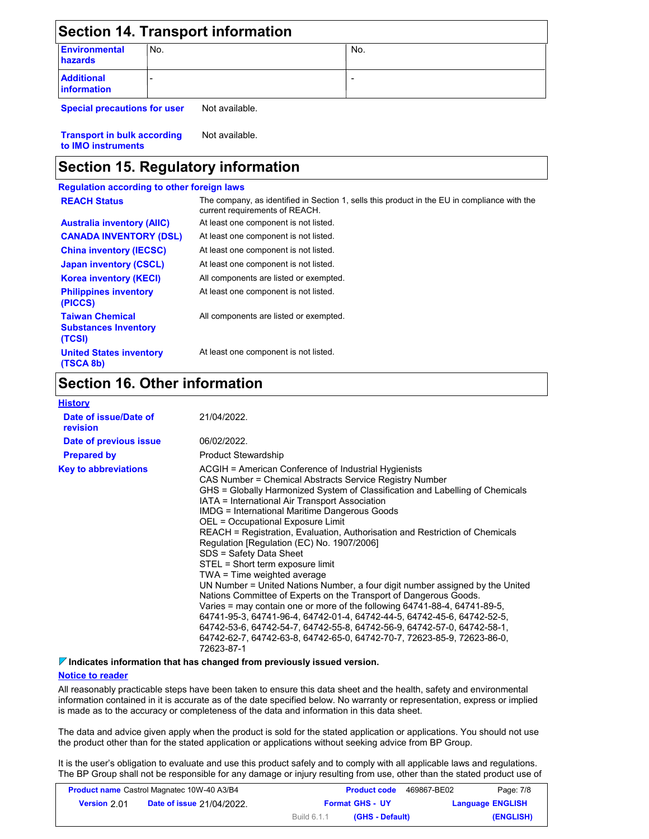| <b>Section 14. Transport information</b> |     |     |  |
|------------------------------------------|-----|-----|--|
| <b>Environmental</b><br>hazards          | No. | No. |  |
| <b>Additional</b><br><b>information</b>  |     |     |  |

**Special precautions for user** Not available.

**Transport in bulk according to IMO instruments** Not available.

### **Section 15. Regulatory information**

| <b>Regulation according to other foreign laws</b>               |                                                                                                                                |
|-----------------------------------------------------------------|--------------------------------------------------------------------------------------------------------------------------------|
| <b>REACH Status</b>                                             | The company, as identified in Section 1, sells this product in the EU in compliance with the<br>current requirements of REACH. |
| <b>Australia inventory (AIIC)</b>                               | At least one component is not listed.                                                                                          |
| <b>CANADA INVENTORY (DSL)</b>                                   | At least one component is not listed.                                                                                          |
| <b>China inventory (IECSC)</b>                                  | At least one component is not listed.                                                                                          |
| Japan inventory (CSCL)                                          | At least one component is not listed.                                                                                          |
| <b>Korea inventory (KECI)</b>                                   | All components are listed or exempted.                                                                                         |
| <b>Philippines inventory</b><br>(PICCS)                         | At least one component is not listed.                                                                                          |
| <b>Taiwan Chemical</b><br><b>Substances Inventory</b><br>(TCSI) | All components are listed or exempted.                                                                                         |
| <b>United States inventory</b><br>(TSCA 8b)                     | At least one component is not listed.                                                                                          |

## **Section 16. Other information**

| <b>History</b>                    |                                                                                                                                                                                                                                                                                                                                                                                                                                                                                                                                                                                                                                                                                                                                                                                                                                                                                                                                                                                                                                                                     |
|-----------------------------------|---------------------------------------------------------------------------------------------------------------------------------------------------------------------------------------------------------------------------------------------------------------------------------------------------------------------------------------------------------------------------------------------------------------------------------------------------------------------------------------------------------------------------------------------------------------------------------------------------------------------------------------------------------------------------------------------------------------------------------------------------------------------------------------------------------------------------------------------------------------------------------------------------------------------------------------------------------------------------------------------------------------------------------------------------------------------|
| Date of issue/Date of<br>revision | 21/04/2022.                                                                                                                                                                                                                                                                                                                                                                                                                                                                                                                                                                                                                                                                                                                                                                                                                                                                                                                                                                                                                                                         |
| Date of previous issue            | 06/02/2022.                                                                                                                                                                                                                                                                                                                                                                                                                                                                                                                                                                                                                                                                                                                                                                                                                                                                                                                                                                                                                                                         |
| <b>Prepared by</b>                | <b>Product Stewardship</b>                                                                                                                                                                                                                                                                                                                                                                                                                                                                                                                                                                                                                                                                                                                                                                                                                                                                                                                                                                                                                                          |
| <b>Key to abbreviations</b>       | ACGIH = American Conference of Industrial Hygienists<br>CAS Number = Chemical Abstracts Service Registry Number<br>GHS = Globally Harmonized System of Classification and Labelling of Chemicals<br>IATA = International Air Transport Association<br><b>IMDG</b> = International Maritime Dangerous Goods<br>OEL = Occupational Exposure Limit<br>REACH = Registration, Evaluation, Authorisation and Restriction of Chemicals<br>Regulation [Regulation (EC) No. 1907/2006]<br>SDS = Safety Data Sheet<br>STEL = Short term exposure limit<br>TWA = Time weighted average<br>UN Number = United Nations Number, a four digit number assigned by the United<br>Nations Committee of Experts on the Transport of Dangerous Goods.<br>Varies = may contain one or more of the following $64741-88-4$ , $64741-89-5$ ,<br>64741-95-3, 64741-96-4, 64742-01-4, 64742-44-5, 64742-45-6, 64742-52-5,<br>64742-53-6, 64742-54-7, 64742-55-8, 64742-56-9, 64742-57-0, 64742-58-1,<br>64742-62-7, 64742-63-8, 64742-65-0, 64742-70-7, 72623-85-9, 72623-86-0,<br>72623-87-1 |

#### **Indicates information that has changed from previously issued version.**

#### **Notice to reader**

All reasonably practicable steps have been taken to ensure this data sheet and the health, safety and environmental information contained in it is accurate as of the date specified below. No warranty or representation, express or implied is made as to the accuracy or completeness of the data and information in this data sheet.

The data and advice given apply when the product is sold for the stated application or applications. You should not use the product other than for the stated application or applications without seeking advice from BP Group.

It is the user's obligation to evaluate and use this product safely and to comply with all applicable laws and regulations. The BP Group shall not be responsible for any damage or injury resulting from use, other than the stated product use of

| <b>Product name Castrol Magnatec 10W-40 A3/B4</b> |                                  |                        | <b>Product code</b> | 469867-BE02 | Page: 7/8               |
|---------------------------------------------------|----------------------------------|------------------------|---------------------|-------------|-------------------------|
| <b>Version 2011</b>                               | <b>Date of issue 21/04/2022.</b> | <b>Format GHS - UY</b> |                     |             | <b>Language ENGLISH</b> |
|                                                   |                                  | Build 6.1.1            | (GHS - Default)     |             | (ENGLISH)               |